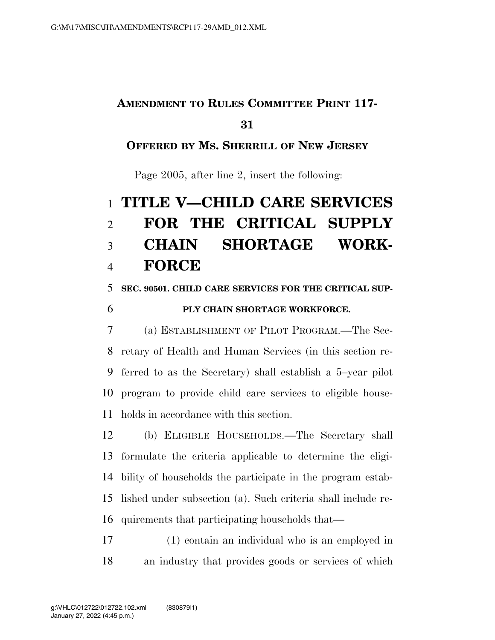# **AMENDMENT TO RULES COMMITTEE PRINT 117-**

### 

## **OFFERED BY MS. SHERRILL OF NEW JERSEY**

Page 2005, after line 2, insert the following:

# **TITLE V—CHILD CARE SERVICES FOR THE CRITICAL SUPPLY CHAIN SHORTAGE WORK-FORCE**

#### **SEC. 90501. CHILD CARE SERVICES FOR THE CRITICAL SUP-**

### **PLY CHAIN SHORTAGE WORKFORCE.**

 (a) ESTABLISHMENT OF PILOT PROGRAM.—The Sec- retary of Health and Human Services (in this section re- ferred to as the Secretary) shall establish a 5–year pilot program to provide child care services to eligible house-holds in accordance with this section.

 (b) ELIGIBLE HOUSEHOLDS.—The Secretary shall formulate the criteria applicable to determine the eligi- bility of households the participate in the program estab- lished under subsection (a). Such criteria shall include re-quirements that participating households that—

 (1) contain an individual who is an employed in an industry that provides goods or services of which